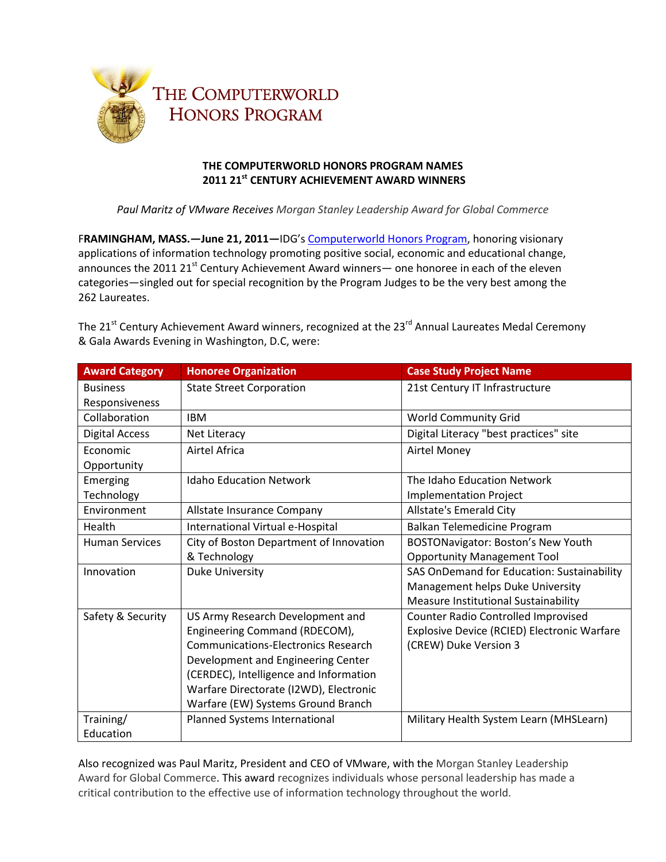

## **THE COMPUTERWORLD HONORS PROGRAM NAMES 2011 21st CENTURY ACHIEVEMENT AWARD WINNERS**

*Paul Maritz of VMware Receives Morgan Stanley Leadership Award for Global Commerce*

F**RAMINGHAM, MASS.—June 21, 2011—**IDG's [Computerworld Honors Program,](http://www.eiseverywhere.com/ehome/index.php?eventid=16786) honoring visionary applications of information technology promoting positive social, economic and educational change, announces the 2011 21 $^{\text{st}}$  Century Achievement Award winners— one honoree in each of the eleven categories—singled out for special recognition by the Program Judges to be the very best among the 262 Laureates.

The 21<sup>st</sup> Century Achievement Award winners, recognized at the 23<sup>rd</sup> Annual Laureates Medal Ceremony & Gala Awards Evening in Washington, D.C, were:

| <b>Award Category</b> | <b>Honoree Organization</b>                | <b>Case Study Project Name</b>              |
|-----------------------|--------------------------------------------|---------------------------------------------|
| <b>Business</b>       | <b>State Street Corporation</b>            | 21st Century IT Infrastructure              |
| Responsiveness        |                                            |                                             |
| Collaboration         | <b>IBM</b>                                 | World Community Grid                        |
| <b>Digital Access</b> | Net Literacy                               | Digital Literacy "best practices" site      |
| Economic              | Airtel Africa                              | <b>Airtel Money</b>                         |
| Opportunity           |                                            |                                             |
| Emerging              | <b>Idaho Education Network</b>             | The Idaho Education Network                 |
| Technology            |                                            | <b>Implementation Project</b>               |
| Environment           | Allstate Insurance Company                 | Allstate's Emerald City                     |
| Health                | International Virtual e-Hospital           | Balkan Telemedicine Program                 |
| <b>Human Services</b> | City of Boston Department of Innovation    | BOSTONavigator: Boston's New Youth          |
|                       | & Technology                               | <b>Opportunity Management Tool</b>          |
| Innovation            | <b>Duke University</b>                     | SAS OnDemand for Education: Sustainability  |
|                       |                                            | Management helps Duke University            |
|                       |                                            | Measure Institutional Sustainability        |
| Safety & Security     | US Army Research Development and           | <b>Counter Radio Controlled Improvised</b>  |
|                       | Engineering Command (RDECOM),              | Explosive Device (RCIED) Electronic Warfare |
|                       | <b>Communications-Electronics Research</b> | (CREW) Duke Version 3                       |
|                       | Development and Engineering Center         |                                             |
|                       | (CERDEC), Intelligence and Information     |                                             |
|                       | Warfare Directorate (I2WD), Electronic     |                                             |
|                       | Warfare (EW) Systems Ground Branch         |                                             |
| Training/             | Planned Systems International              | Military Health System Learn (MHSLearn)     |
| Education             |                                            |                                             |

Also recognized was Paul Maritz, President and CEO of VMware, with the Morgan Stanley Leadership Award for Global Commerce. This award recognizes individuals whose personal leadership has made a critical contribution to the effective use of information technology throughout the world.